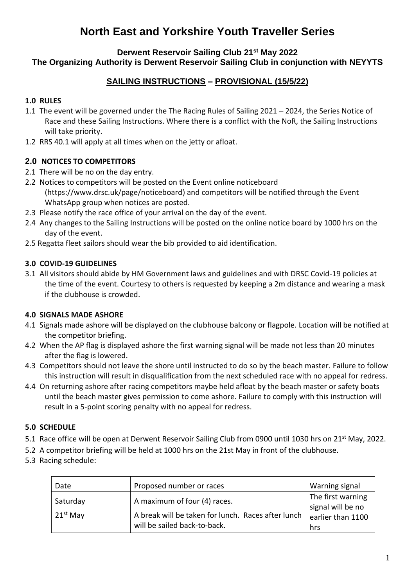# **North East and Yorkshire Youth Traveller Series**

### **Derwent Reservoir Sailing Club 21st May 2022 The Organizing Authority is Derwent Reservoir Sailing Club in conjunction with NEYYTS**

## **SAILING INSTRUCTIONS – PROVISIONAL (15/5/22)**

## **1.0 RULES**

- 1.1 The event will be governed under the The Racing Rules of Sailing 2021 2024, the Series Notice of Race and these Sailing Instructions. Where there is a conflict with the NoR, the Sailing Instructions will take priority.
- 1.2 RRS 40.1 will apply at all times when on the jetty or afloat.

## **2.0 NOTICES TO COMPETITORS**

- 2.1 There will be no on the day entry.
- 2.2 Notices to competitors will be posted on the Event online noticeboard (https://www.drsc.uk/page/noticeboard) and competitors will be notified through the Event WhatsApp group when notices are posted.
- 2.3 Please notify the race office of your arrival on the day of the event.
- 2.4 Any changes to the Sailing Instructions will be posted on the online notice board by 1000 hrs on the day of the event.
- 2.5 Regatta fleet sailors should wear the bib provided to aid identification.

#### **3.0 COVID-19 GUIDELINES**

3.1 All visitors should abide by HM Government laws and guidelines and with DRSC Covid-19 policies at the time of the event. Courtesy to others is requested by keeping a 2m distance and wearing a mask if the clubhouse is crowded.

## **4.0 SIGNALS MADE ASHORE**

- 4.1 Signals made ashore will be displayed on the clubhouse balcony or flagpole. Location will be notified at the competitor briefing.
- 4.2 When the AP flag is displayed ashore the first warning signal will be made not less than 20 minutes after the flag is lowered.
- 4.3 Competitors should not leave the shore until instructed to do so by the beach master. Failure to follow this instruction will result in disqualification from the next scheduled race with no appeal for redress.
- 4.4 On returning ashore after racing competitors maybe held afloat by the beach master or safety boats until the beach master gives permission to come ashore. Failure to comply with this instruction will result in a 5-point scoring penalty with no appeal for redress.

## **5.0 SCHEDULE**

- 5.1 Race office will be open at Derwent Reservoir Sailing Club from 0900 until 1030 hrs on 21<sup>st</sup> May, 2022.
- 5.2 A competitor briefing will be held at 1000 hrs on the 21st May in front of the clubhouse.
- 5.3 Racing schedule:

| Date                   | Proposed number or races                                                                                           | Warning signal                                                     |
|------------------------|--------------------------------------------------------------------------------------------------------------------|--------------------------------------------------------------------|
| Saturday<br>$21st$ May | A maximum of four (4) races.<br>A break will be taken for lunch. Races after lunch<br>will be sailed back-to-back. | The first warning<br>signal will be no<br>earlier than 1100<br>hrs |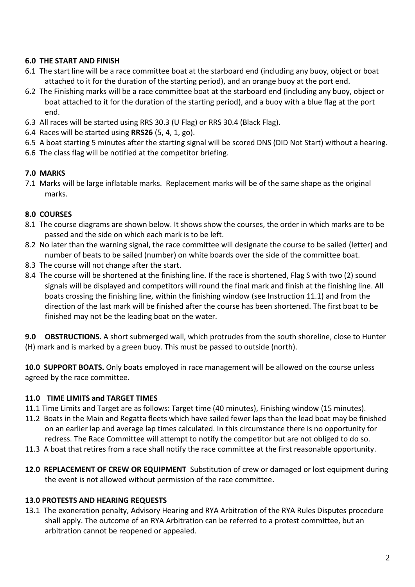#### **6.0 THE START AND FINISH**

- 6.1 The start line will be a race committee boat at the starboard end (including any buoy, object or boat attached to it for the duration of the starting period), and an orange buoy at the port end.
- 6.2 The Finishing marks will be a race committee boat at the starboard end (including any buoy, object or boat attached to it for the duration of the starting period), and a buoy with a blue flag at the port end.
- 6.3 All races will be started using RRS 30.3 (U Flag) or RRS 30.4 (Black Flag).
- 6.4 Races will be started using **RRS26** (5, 4, 1, go).
- 6.5 A boat starting 5 minutes after the starting signal will be scored DNS (DID Not Start) without a hearing.
- 6.6 The class flag will be notified at the competitor briefing.

#### **7.0 MARKS**

7.1 Marks will be large inflatable marks. Replacement marks will be of the same shape as the original marks.

#### **8.0 COURSES**

- 8.1 The course diagrams are shown below. It shows show the courses, the order in which marks are to be passed and the side on which each mark is to be left.
- 8.2 No later than the warning signal, the race committee will designate the course to be sailed (letter) and number of beats to be sailed (number) on white boards over the side of the committee boat.
- 8.3 The course will not change after the start.
- 8.4 The course will be shortened at the finishing line. If the race is shortened, Flag S with two (2) sound signals will be displayed and competitors will round the final mark and finish at the finishing line. All boats crossing the finishing line, within the finishing window (see Instruction 11.1) and from the direction of the last mark will be finished after the course has been shortened. The first boat to be finished may not be the leading boat on the water.

**9.0 OBSTRUCTIONS.** A short submerged wall, which protrudes from the south shoreline, close to Hunter (H) mark and is marked by a green buoy. This must be passed to outside (north).

**10.0 SUPPORT BOATS.** Only boats employed in race management will be allowed on the course unless agreed by the race committee.

#### **11.0 TIME LIMITS and TARGET TIMES**

- 11.1 Time Limits and Target are as follows: Target time (40 minutes), Finishing window (15 minutes).
- 11.2 Boats in the Main and Regatta fleets which have sailed fewer laps than the lead boat may be finished on an earlier lap and average lap times calculated. In this circumstance there is no opportunity for redress. The Race Committee will attempt to notify the competitor but are not obliged to do so.
- 11.3 A boat that retires from a race shall notify the race committee at the first reasonable opportunity.
- **12.0 REPLACEMENT OF CREW OR EQUIPMENT** Substitution of crew or damaged or lost equipment during the event is not allowed without permission of the race committee.

#### **13.0 PROTESTS AND HEARING REQUESTS**

13.1 The exoneration penalty, Advisory Hearing and RYA Arbitration of the RYA Rules Disputes procedure shall apply. The outcome of an RYA Arbitration can be referred to a protest committee, but an arbitration cannot be reopened or appealed.